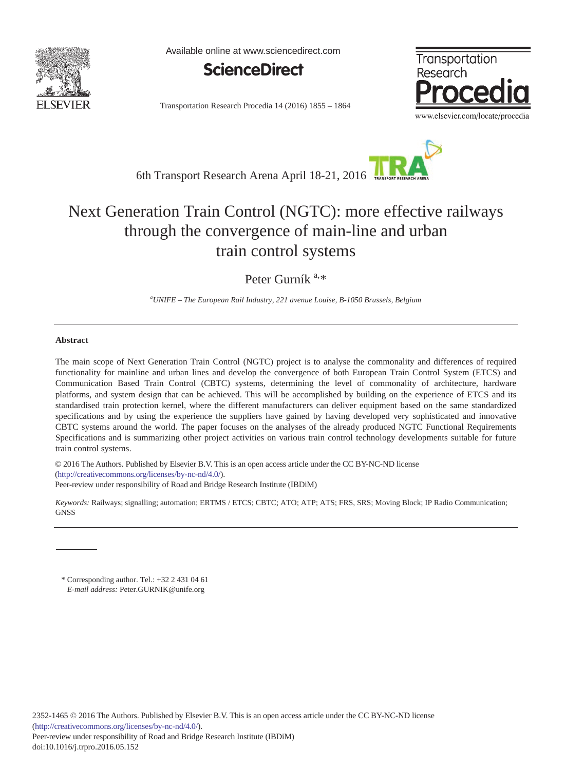

Available online at www.sciencedirect.com



Transportation Research Procedia 14 (2016) 1855 - 1864





# Next Generation Train Control (NGTC): more effective railways through the convergence of main-line and urban train control systems

Peter Gurník<sup>a,\*</sup>

*a UNIFE – The European Rail Industry, 221 avenue Louise, B-1050 Brussels, Belgium*

## **Abstract**

The main scope of Next Generation Train Control (NGTC) project is to analyse the commonality and differences of required functionality for mainline and urban lines and develop the convergence of both European Train Control System (ETCS) and Communication Based Train Control (CBTC) systems, determining the level of commonality of architecture, hardware platforms, and system design that can be achieved. This will be accomplished by building on the experience of ETCS and its standardised train protection kernel, where the different manufacturers can deliver equipment based on the same standardized specifications and by using the experience the suppliers have gained by having developed very sophisticated and innovative CBTC systems around the world. The paper focuses on the analyses of the already produced NGTC Functional Requirements Specifications and is summarizing other project activities on various train control technology developments suitable for future train control systems.

(http://creativecommons.org/licenses/by-nc-nd/4.0/). Peer-review under responsibility of Road and Bridge Research Institute (IBDiM). Peer-review under responsibility of Road and Bridge Research Institute (IBDiM)© 2016 The Authors. Published by Elsevier B.V. This is an open access article under the CC BY-NC-ND license

*Keywords:* Railways; signalling; automation; ERTMS / ETCS; CBTC; ATO; ATP; ATS; FRS, SRS; Moving Block; IP Radio Communication; **GNSS** 

 $*$  Corresponding author. Tel.:  $+3224310461$ *E-mail address:* Peter.GURNIK@unife.org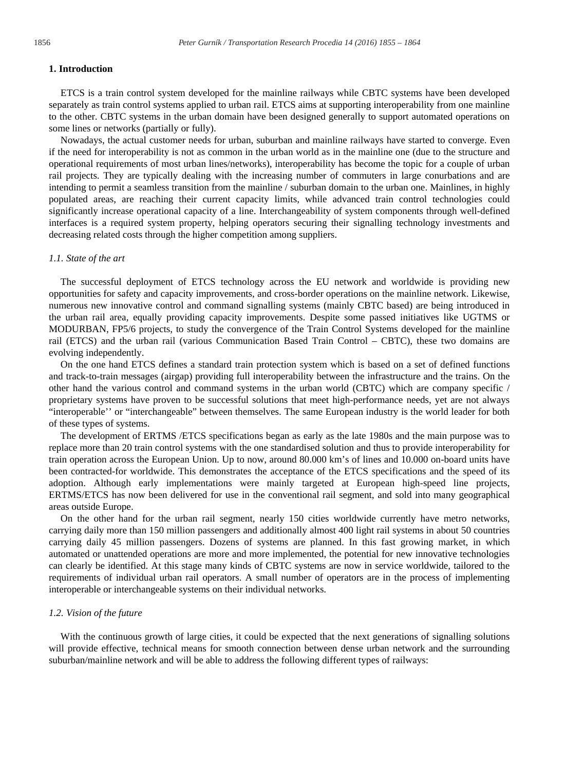#### **1. Introduction**

ETCS is a train control system developed for the mainline railways while CBTC systems have been developed separately as train control systems applied to urban rail. ETCS aims at supporting interoperability from one mainline to the other. CBTC systems in the urban domain have been designed generally to support automated operations on some lines or networks (partially or fully).

Nowadays, the actual customer needs for urban, suburban and mainline railways have started to converge. Even if the need for interoperability is not as common in the urban world as in the mainline one (due to the structure and operational requirements of most urban lines/networks), interoperability has become the topic for a couple of urban rail projects. They are typically dealing with the increasing number of commuters in large conurbations and are intending to permit a seamless transition from the mainline / suburban domain to the urban one. Mainlines, in highly populated areas, are reaching their current capacity limits, while advanced train control technologies could significantly increase operational capacity of a line. Interchangeability of system components through well-defined interfaces is a required system property, helping operators securing their signalling technology investments and decreasing related costs through the higher competition among suppliers.

## *1.1. State of the art*

The successful deployment of ETCS technology across the EU network and worldwide is providing new opportunities for safety and capacity improvements, and cross-border operations on the mainline network. Likewise, numerous new innovative control and command signalling systems (mainly CBTC based) are being introduced in the urban rail area, equally providing capacity improvements. Despite some passed initiatives like UGTMS or MODURBAN, FP5/6 projects, to study the convergence of the Train Control Systems developed for the mainline rail (ETCS) and the urban rail (various Communication Based Train Control – CBTC), these two domains are evolving independently.

On the one hand ETCS defines a standard train protection system which is based on a set of defined functions and track-to-train messages (airgap) providing full interoperability between the infrastructure and the trains. On the other hand the various control and command systems in the urban world (CBTC) which are company specific / proprietary systems have proven to be successful solutions that meet high-performance needs, yet are not always "interoperable'' or "interchangeable" between themselves. The same European industry is the world leader for both of these types of systems.

The development of ERTMS /ETCS specifications began as early as the late 1980s and the main purpose was to replace more than 20 train control systems with the one standardised solution and thus to provide interoperability for train operation across the European Union. Up to now, around 80.000 km's of lines and 10.000 on-board units have been contracted-for worldwide. This demonstrates the acceptance of the ETCS specifications and the speed of its adoption. Although early implementations were mainly targeted at European high-speed line projects, ERTMS/ETCS has now been delivered for use in the conventional rail segment, and sold into many geographical areas outside Europe.

On the other hand for the urban rail segment, nearly 150 cities worldwide currently have metro networks, carrying daily more than 150 million passengers and additionally almost 400 light rail systems in about 50 countries carrying daily 45 million passengers. Dozens of systems are planned. In this fast growing market, in which automated or unattended operations are more and more implemented, the potential for new innovative technologies can clearly be identified. At this stage many kinds of CBTC systems are now in service worldwide, tailored to the requirements of individual urban rail operators. A small number of operators are in the process of implementing interoperable or interchangeable systems on their individual networks.

#### *1.2. Vision of the future*

With the continuous growth of large cities, it could be expected that the next generations of signalling solutions will provide effective, technical means for smooth connection between dense urban network and the surrounding suburban/mainline network and will be able to address the following different types of railways: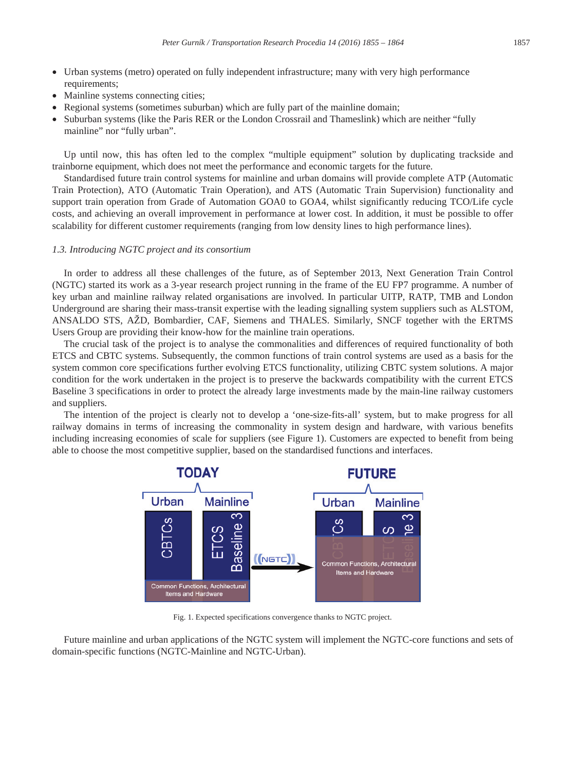- Urban systems (metro) operated on fully independent infrastructure; many with very high performance requirements;
- Mainline systems connecting cities;
- Regional systems (sometimes suburban) which are fully part of the mainline domain;
- x Suburban systems (like the Paris RER or the London Crossrail and Thameslink) which are neither "fully mainline" nor "fully urban".

Up until now, this has often led to the complex "multiple equipment" solution by duplicating trackside and trainborne equipment, which does not meet the performance and economic targets for the future.

Standardised future train control systems for mainline and urban domains will provide complete ATP (Automatic Train Protection), ATO (Automatic Train Operation), and ATS (Automatic Train Supervision) functionality and support train operation from Grade of Automation GOA0 to GOA4, whilst significantly reducing TCO/Life cycle costs, and achieving an overall improvement in performance at lower cost. In addition, it must be possible to offer scalability for different customer requirements (ranging from low density lines to high performance lines).

## *1.3. Introducing NGTC project and its consortium*

In order to address all these challenges of the future, as of September 2013, Next Generation Train Control (NGTC) started its work as a 3-year research project running in the frame of the EU FP7 programme. A number of key urban and mainline railway related organisations are involved. In particular UITP, RATP, TMB and London Underground are sharing their mass-transit expertise with the leading signalling system suppliers such as ALSTOM, ANSALDO STS, AŽD, Bombardier, CAF, Siemens and THALES. Similarly, SNCF together with the ERTMS Users Group are providing their know-how for the mainline train operations.

The crucial task of the project is to analyse the commonalities and differences of required functionality of both ETCS and CBTC systems. Subsequently, the common functions of train control systems are used as a basis for the system common core specifications further evolving ETCS functionality, utilizing CBTC system solutions. A major condition for the work undertaken in the project is to preserve the backwards compatibility with the current ETCS Baseline 3 specifications in order to protect the already large investments made by the main-line railway customers and suppliers.

The intention of the project is clearly not to develop a 'one-size-fits-all' system, but to make progress for all railway domains in terms of increasing the commonality in system design and hardware, with various benefits including increasing economies of scale for suppliers (see Figure 1). Customers are expected to benefit from being able to choose the most competitive supplier, based on the standardised functions and interfaces.



Fig. 1. Expected specifications convergence thanks to NGTC project.

Future mainline and urban applications of the NGTC system will implement the NGTC-core functions and sets of domain-specific functions (NGTC-Mainline and NGTC-Urban).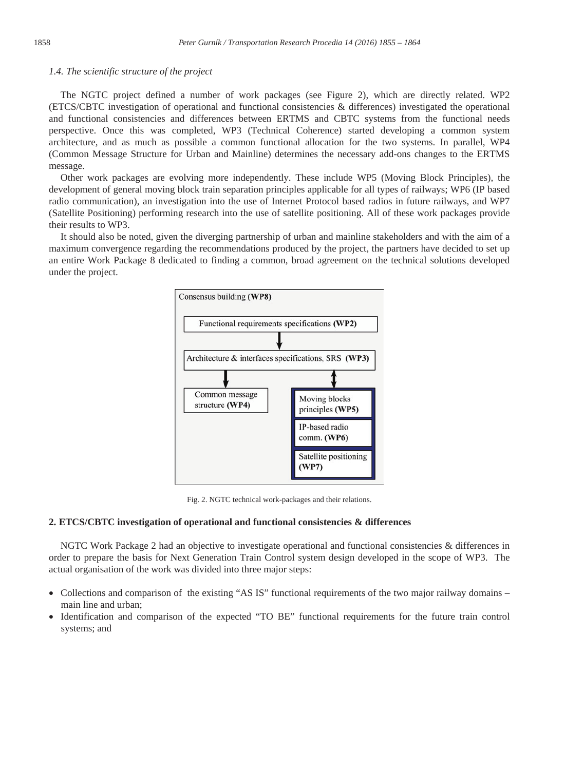## *1.4. The scientific structure of the project*

The NGTC project defined a number of work packages (see Figure 2), which are directly related. WP2 (ETCS/CBTC investigation of operational and functional consistencies & differences) investigated the operational and functional consistencies and differences between ERTMS and CBTC systems from the functional needs perspective. Once this was completed, WP3 (Technical Coherence) started developing a common system architecture, and as much as possible a common functional allocation for the two systems. In parallel, WP4 (Common Message Structure for Urban and Mainline) determines the necessary add-ons changes to the ERTMS message.

Other work packages are evolving more independently. These include WP5 (Moving Block Principles), the development of general moving block train separation principles applicable for all types of railways; WP6 (IP based radio communication), an investigation into the use of Internet Protocol based radios in future railways, and WP7 (Satellite Positioning) performing research into the use of satellite positioning. All of these work packages provide their results to WP3.

It should also be noted, given the diverging partnership of urban and mainline stakeholders and with the aim of a maximum convergence regarding the recommendations produced by the project, the partners have decided to set up an entire Work Package 8 dedicated to finding a common, broad agreement on the technical solutions developed under the project.



Fig. 2. NGTC technical work-packages and their relations.

## **2. ETCS/CBTC investigation of operational and functional consistencies & differences**

NGTC Work Package 2 had an objective to investigate operational and functional consistencies & differences in order to prepare the basis for Next Generation Train Control system design developed in the scope of WP3. The actual organisation of the work was divided into three major steps:

- Collections and comparison of the existing "AS IS" functional requirements of the two major railway domains main line and urban;
- Identification and comparison of the expected "TO BE" functional requirements for the future train control systems; and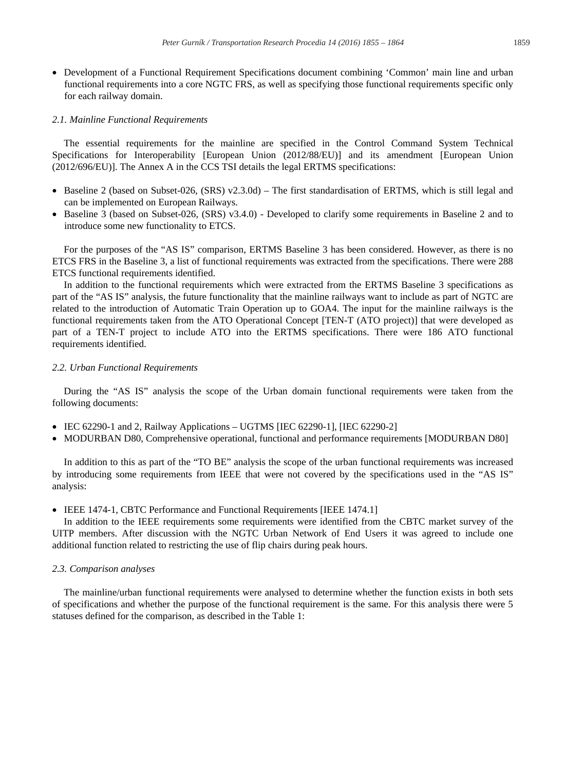• Development of a Functional Requirement Specifications document combining 'Common' main line and urban functional requirements into a core NGTC FRS, as well as specifying those functional requirements specific only for each railway domain.

#### *2.1. Mainline Functional Requirements*

The essential requirements for the mainline are specified in the Control Command System Technical Specifications for Interoperability [European Union (2012/88/EU)] and its amendment [European Union (2012/696/EU)]. The Annex A in the CCS TSI details the legal ERTMS specifications:

- $\bullet$  Baseline 2 (based on Subset-026, (SRS) v2.3.0d) The first standardisation of ERTMS, which is still legal and can be implemented on European Railways.
- x Baseline 3 (based on Subset-026, (SRS) v3.4.0) Developed to clarify some requirements in Baseline 2 and to introduce some new functionality to ETCS.

For the purposes of the "AS IS" comparison, ERTMS Baseline 3 has been considered. However, as there is no ETCS FRS in the Baseline 3, a list of functional requirements was extracted from the specifications. There were 288 ETCS functional requirements identified.

In addition to the functional requirements which were extracted from the ERTMS Baseline 3 specifications as part of the "AS IS" analysis, the future functionality that the mainline railways want to include as part of NGTC are related to the introduction of Automatic Train Operation up to GOA4. The input for the mainline railways is the functional requirements taken from the ATO Operational Concept [TEN-T (ATO project)] that were developed as part of a TEN-T project to include ATO into the ERTMS specifications. There were 186 ATO functional requirements identified.

#### *2.2. Urban Functional Requirements*

During the "AS IS" analysis the scope of the Urban domain functional requirements were taken from the following documents:

- $\bullet$  IEC 62290-1 and 2, Railway Applications UGTMS [IEC 62290-1], [IEC 62290-2]
- MODURBAN D80, Comprehensive operational, functional and performance requirements [MODURBAN D80]

In addition to this as part of the "TO BE" analysis the scope of the urban functional requirements was increased by introducing some requirements from IEEE that were not covered by the specifications used in the "AS IS" analysis:

• IEEE 1474-1, CBTC Performance and Functional Requirements [IEEE 1474.1]

In addition to the IEEE requirements some requirements were identified from the CBTC market survey of the UITP members. After discussion with the NGTC Urban Network of End Users it was agreed to include one additional function related to restricting the use of flip chairs during peak hours.

#### *2.3. Comparison analyses*

The mainline/urban functional requirements were analysed to determine whether the function exists in both sets of specifications and whether the purpose of the functional requirement is the same. For this analysis there were 5 statuses defined for the comparison, as described in the Table 1: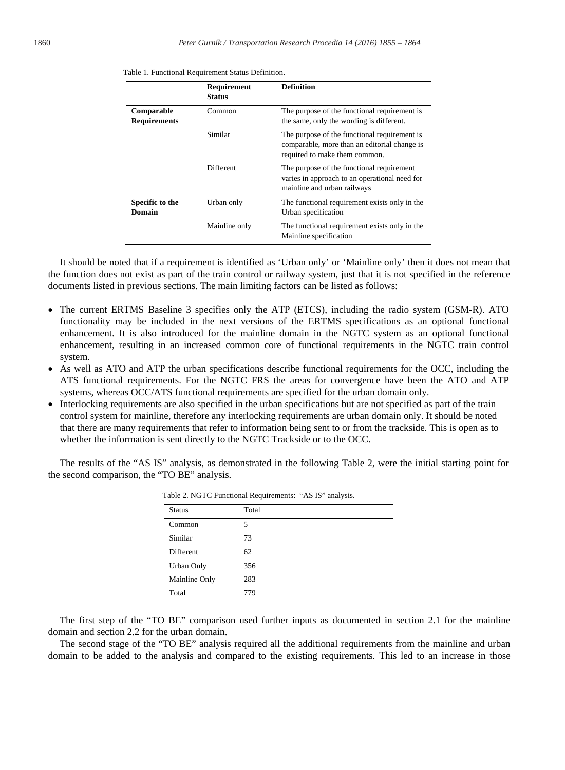|                                   | Requirement<br><b>Status</b> | <b>Definition</b>                                                                                                             |
|-----------------------------------|------------------------------|-------------------------------------------------------------------------------------------------------------------------------|
| Comparable<br><b>Requirements</b> | Common                       | The purpose of the functional requirement is<br>the same, only the wording is different.                                      |
|                                   | Similar                      | The purpose of the functional requirement is<br>comparable, more than an editorial change is<br>required to make them common. |
|                                   | Different                    | The purpose of the functional requirement<br>varies in approach to an operational need for<br>mainline and urban railways     |
| Specific to the<br>Domain         | Urban only                   | The functional requirement exists only in the<br>Urban specification                                                          |
|                                   | Mainline only                | The functional requirement exists only in the<br>Mainline specification                                                       |

It should be noted that if a requirement is identified as 'Urban only' or 'Mainline only' then it does not mean that the function does not exist as part of the train control or railway system, just that it is not specified in the reference documents listed in previous sections. The main limiting factors can be listed as follows:

- x The current ERTMS Baseline 3 specifies only the ATP (ETCS), including the radio system (GSM-R). ATO functionality may be included in the next versions of the ERTMS specifications as an optional functional enhancement. It is also introduced for the mainline domain in the NGTC system as an optional functional enhancement, resulting in an increased common core of functional requirements in the NGTC train control system.
- As well as ATO and ATP the urban specifications describe functional requirements for the OCC, including the ATS functional requirements. For the NGTC FRS the areas for convergence have been the ATO and ATP systems, whereas OCC/ATS functional requirements are specified for the urban domain only.
- Interlocking requirements are also specified in the urban specifications but are not specified as part of the train control system for mainline, therefore any interlocking requirements are urban domain only. It should be noted that there are many requirements that refer to information being sent to or from the trackside. This is open as to whether the information is sent directly to the NGTC Trackside or to the OCC.

The results of the "AS IS" analysis, as demonstrated in the following Table 2, were the initial starting point for the second comparison, the "TO BE" analysis.

| <b>Status</b> | Total |
|---------------|-------|
| Common        | 5     |
| Similar       | 73    |
| Different     | 62    |
| Urban Only    | 356   |
| Mainline Only | 283   |
| Total         | 779   |

Table 2. NGTC Functional Requirements: "AS IS" analysis.

The first step of the "TO BE" comparison used further inputs as documented in section 2.1 for the mainline domain and section 2.2 for the urban domain.

The second stage of the "TO BE" analysis required all the additional requirements from the mainline and urban domain to be added to the analysis and compared to the existing requirements. This led to an increase in those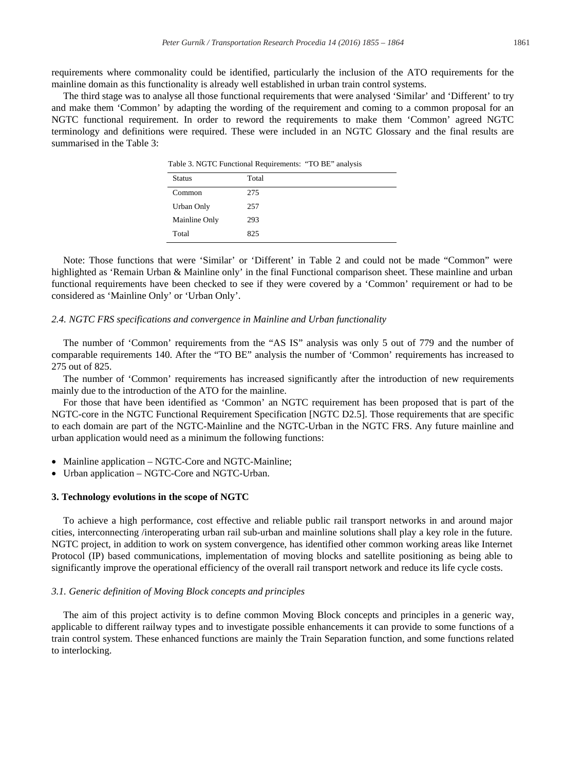requirements where commonality could be identified, particularly the inclusion of the ATO requirements for the mainline domain as this functionality is already well established in urban train control systems.

The third stage was to analyse all those functional requirements that were analysed 'Similar' and 'Different' to try and make them 'Common' by adapting the wording of the requirement and coming to a common proposal for an NGTC functional requirement. In order to reword the requirements to make them 'Common' agreed NGTC terminology and definitions were required. These were included in an NGTC Glossary and the final results are summarised in the Table 3:

| Table 3. NGTC Functional Requirements: "TO BE" analysis |       |  |
|---------------------------------------------------------|-------|--|
| - Status                                                | Total |  |

| <b>Status</b> | Total |
|---------------|-------|
| Common        | 275   |
| Urban Only    | 257   |
| Mainline Only | 293   |
| Total         | 825   |

Note: Those functions that were 'Similar' or 'Different' in Table 2 and could not be made "Common" were highlighted as 'Remain Urban & Mainline only' in the final Functional comparison sheet. These mainline and urban functional requirements have been checked to see if they were covered by a 'Common' requirement or had to be considered as 'Mainline Only' or 'Urban Only'.

### *2.4. NGTC FRS specifications and convergence in Mainline and Urban functionality*

The number of 'Common' requirements from the "AS IS" analysis was only 5 out of 779 and the number of comparable requirements 140. After the "TO BE" analysis the number of 'Common' requirements has increased to 275 out of 825.

The number of 'Common' requirements has increased significantly after the introduction of new requirements mainly due to the introduction of the ATO for the mainline.

For those that have been identified as 'Common' an NGTC requirement has been proposed that is part of the NGTC-core in the NGTC Functional Requirement Specification [NGTC D2.5]. Those requirements that are specific to each domain are part of the NGTC-Mainline and the NGTC-Urban in the NGTC FRS. Any future mainline and urban application would need as a minimum the following functions:

- Mainline application NGTC-Core and NGTC-Mainline;
- Urban application NGTC-Core and NGTC-Urban.

#### **3. Technology evolutions in the scope of NGTC**

To achieve a high performance, cost effective and reliable public rail transport networks in and around major cities, interconnecting /interoperating urban rail sub-urban and mainline solutions shall play a key role in the future. NGTC project, in addition to work on system convergence, has identified other common working areas like Internet Protocol (IP) based communications, implementation of moving blocks and satellite positioning as being able to significantly improve the operational efficiency of the overall rail transport network and reduce its life cycle costs.

#### *3.1. Generic definition of Moving Block concepts and principles*

The aim of this project activity is to define common Moving Block concepts and principles in a generic way, applicable to different railway types and to investigate possible enhancements it can provide to some functions of a train control system. These enhanced functions are mainly the Train Separation function, and some functions related to interlocking.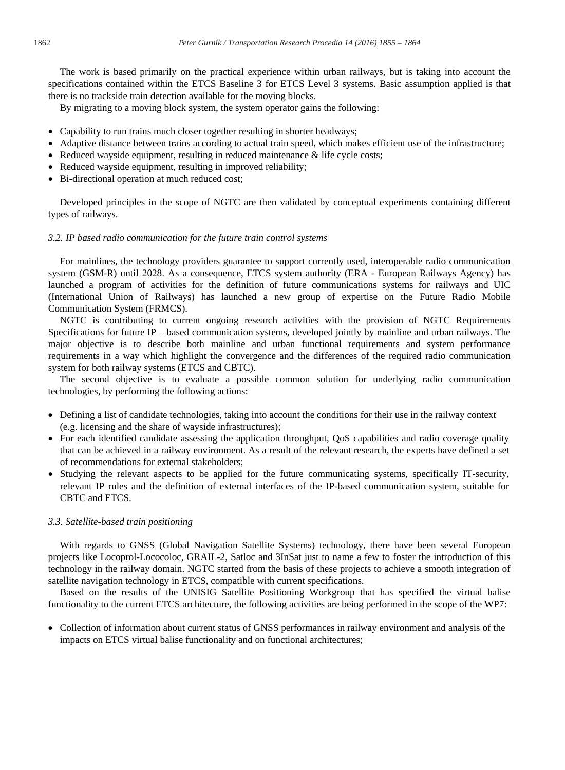The work is based primarily on the practical experience within urban railways, but is taking into account the specifications contained within the ETCS Baseline 3 for ETCS Level 3 systems. Basic assumption applied is that there is no trackside train detection available for the moving blocks.

By migrating to a moving block system, the system operator gains the following:

- Capability to run trains much closer together resulting in shorter headways;
- Adaptive distance between trains according to actual train speed, which makes efficient use of the infrastructure;
- Reduced wayside equipment, resulting in reduced maintenance  $\&$  life cycle costs;
- Reduced wayside equipment, resulting in improved reliability;
- Bi-directional operation at much reduced cost;

Developed principles in the scope of NGTC are then validated by conceptual experiments containing different types of railways.

#### *3.2. IP based radio communication for the future train control systems*

For mainlines, the technology providers guarantee to support currently used, interoperable radio communication system (GSM-R) until 2028. As a consequence, ETCS system authority (ERA - European Railways Agency) has launched a program of activities for the definition of future communications systems for railways and UIC (International Union of Railways) has launched a new group of expertise on the Future Radio Mobile Communication System (FRMCS).

NGTC is contributing to current ongoing research activities with the provision of NGTC Requirements Specifications for future IP – based communication systems, developed jointly by mainline and urban railways. The major objective is to describe both mainline and urban functional requirements and system performance requirements in a way which highlight the convergence and the differences of the required radio communication system for both railway systems (ETCS and CBTC).

The second objective is to evaluate a possible common solution for underlying radio communication technologies, by performing the following actions:

- Defining a list of candidate technologies, taking into account the conditions for their use in the railway context (e.g. licensing and the share of wayside infrastructures);
- For each identified candidate assessing the application throughput, QoS capabilities and radio coverage quality that can be achieved in a railway environment. As a result of the relevant research, the experts have defined a set of recommendations for external stakeholders;
- x Studying the relevant aspects to be applied for the future communicating systems, specifically IT-security, relevant IP rules and the definition of external interfaces of the IP-based communication system, suitable for CBTC and ETCS.

#### *3.3. Satellite-based train positioning*

With regards to GNSS (Global Navigation Satellite Systems) technology, there have been several European projects like Locoprol-Lococoloc, GRAIL-2, Satloc and 3InSat just to name a few to foster the introduction of this technology in the railway domain. NGTC started from the basis of these projects to achieve a smooth integration of satellite navigation technology in ETCS, compatible with current specifications.

Based on the results of the UNISIG Satellite Positioning Workgroup that has specified the virtual balise functionality to the current ETCS architecture, the following activities are being performed in the scope of the WP7:

• Collection of information about current status of GNSS performances in railway environment and analysis of the impacts on ETCS virtual balise functionality and on functional architectures;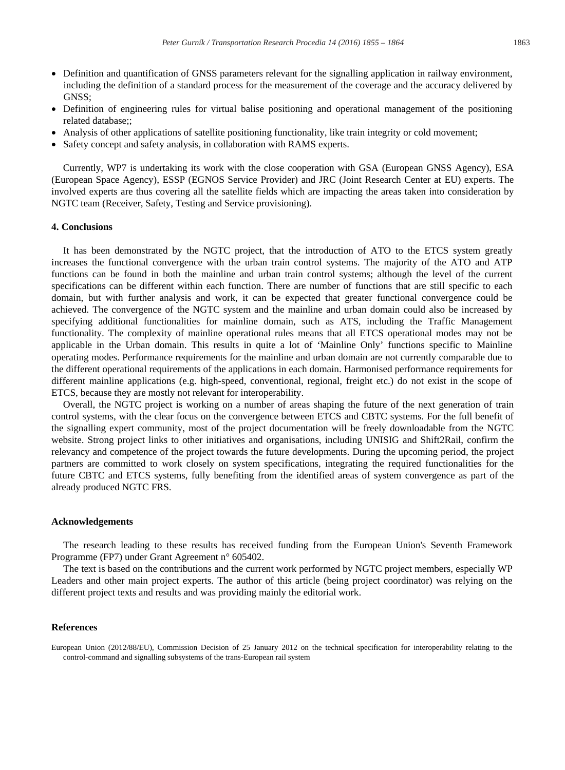- Definition and quantification of GNSS parameters relevant for the signalling application in railway environment, including the definition of a standard process for the measurement of the coverage and the accuracy delivered by GNSS;
- Definition of engineering rules for virtual balise positioning and operational management of the positioning related database;;
- Analysis of other applications of satellite positioning functionality, like train integrity or cold movement;
- Safety concept and safety analysis, in collaboration with RAMS experts.

Currently, WP7 is undertaking its work with the close cooperation with GSA (European GNSS Agency), ESA (European Space Agency), ESSP (EGNOS Service Provider) and JRC (Joint Research Center at EU) experts. The involved experts are thus covering all the satellite fields which are impacting the areas taken into consideration by NGTC team (Receiver, Safety, Testing and Service provisioning).

# **4. Conclusions**

It has been demonstrated by the NGTC project, that the introduction of ATO to the ETCS system greatly increases the functional convergence with the urban train control systems. The majority of the ATO and ATP functions can be found in both the mainline and urban train control systems; although the level of the current specifications can be different within each function. There are number of functions that are still specific to each domain, but with further analysis and work, it can be expected that greater functional convergence could be achieved. The convergence of the NGTC system and the mainline and urban domain could also be increased by specifying additional functionalities for mainline domain, such as ATS, including the Traffic Management functionality. The complexity of mainline operational rules means that all ETCS operational modes may not be applicable in the Urban domain. This results in quite a lot of 'Mainline Only' functions specific to Mainline operating modes. Performance requirements for the mainline and urban domain are not currently comparable due to the different operational requirements of the applications in each domain. Harmonised performance requirements for different mainline applications (e.g. high-speed, conventional, regional, freight etc.) do not exist in the scope of ETCS, because they are mostly not relevant for interoperability.

Overall, the NGTC project is working on a number of areas shaping the future of the next generation of train control systems, with the clear focus on the convergence between ETCS and CBTC systems. For the full benefit of the signalling expert community, most of the project documentation will be freely downloadable from the NGTC website. Strong project links to other initiatives and organisations, including UNISIG and Shift2Rail, confirm the relevancy and competence of the project towards the future developments. During the upcoming period, the project partners are committed to work closely on system specifications, integrating the required functionalities for the future CBTC and ETCS systems, fully benefiting from the identified areas of system convergence as part of the already produced NGTC FRS.

#### **Acknowledgements**

The research leading to these results has received funding from the European Union's Seventh Framework Programme (FP7) under Grant Agreement n° 605402.

The text is based on the contributions and the current work performed by NGTC project members, especially WP Leaders and other main project experts. The author of this article (being project coordinator) was relying on the different project texts and results and was providing mainly the editorial work.

## **References**

European Union (2012/88/EU), Commission Decision of 25 January 2012 on the technical specification for interoperability relating to the control-command and signalling subsystems of the trans-European rail system